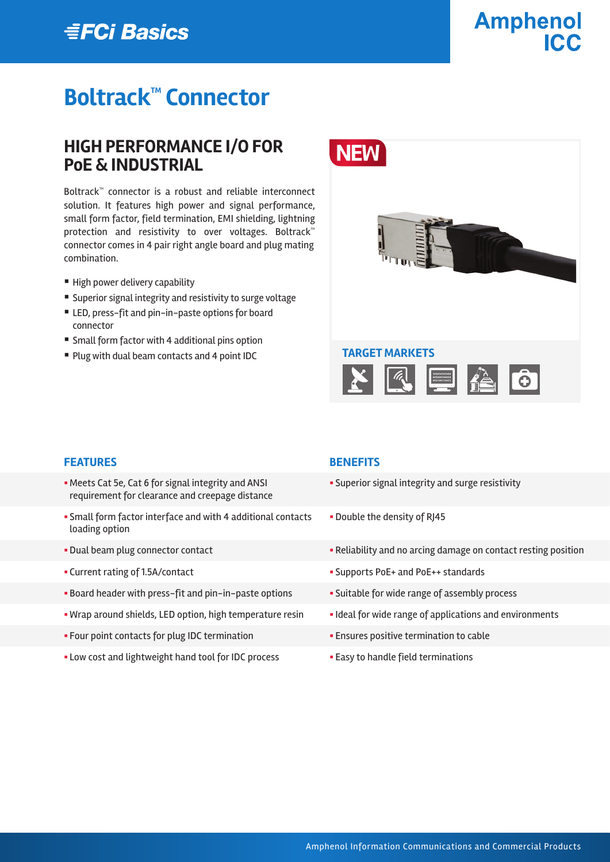## **EFCi Basics**

# **Amphenol**

## **Boltrack™ Connector**

## **HIGH PERFORMANCE I/O FOR PoE & INDUSTRIAL**

Boltrack™ connector is a robust and reliable interconnect solution. It features high power and signal performance, small form factor, field termination, EMI shielding, lightning protection and resistivity to over voltages. Boltrack™ connector comes in 4 pair right angle board and plug mating combination.

- High power delivery capability
- Superior signal integrity and resistivity to surge voltage
- LED, press-fit and pin-in-paste options for board connector
- Small form factor with 4 additional pins option
- Plug with dual beam contacts and 4 point IDC



#### **FEATURES BENEFITS**

- §Meets Cat 5e, Cat 6 for signal integrity and ANSI requirement for clearance and creepage distance
- § Small form factor interface and with 4 additional contacts loading option
- 
- 
- Board header with press-fit and pin-in-paste options Suitable for wide range of assembly process
- Wrap around shields, LED option, high temperature resin **•** Ideal for wide range of applications and environments
- Four point contacts for plug IDC termination **•** Ensures positive termination to cable
- Low cost and lightweight hand tool for IDC process **Easy to handle field terminations**

- **Superior signal integrity and surge resistivity**
- § Double the density of RJ45
- Dual beam plug connector contact **Exercise 3 Reliability and no arcing damage on contact resting position**
- § Current rating of 1.5A/contact § Supports PoE+ and PoE++ standards
	-
	-
	-
	-